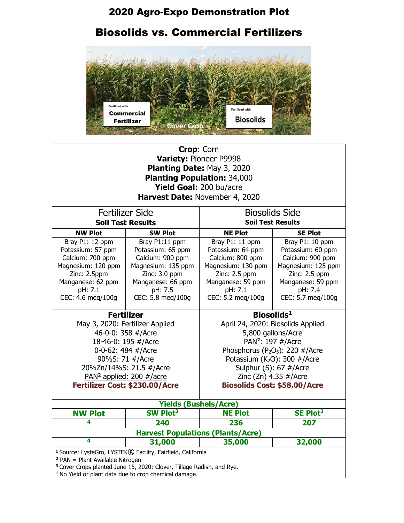## 2020 Agro-Expo Demonstration Plot

Biosolids vs. Commercial Fertilizers



| Crop: Corn                                                                       |                                             |                                          |                      |  |  |  |  |  |  |  |
|----------------------------------------------------------------------------------|---------------------------------------------|------------------------------------------|----------------------|--|--|--|--|--|--|--|
| Variety: Pioneer P9998                                                           |                                             |                                          |                      |  |  |  |  |  |  |  |
| Planting Date: May 3, 2020                                                       |                                             |                                          |                      |  |  |  |  |  |  |  |
| <b>Planting Population: 34,000</b>                                               |                                             |                                          |                      |  |  |  |  |  |  |  |
| Yield Goal: 200 bu/acre                                                          |                                             |                                          |                      |  |  |  |  |  |  |  |
| Harvest Date: November 4, 2020                                                   |                                             |                                          |                      |  |  |  |  |  |  |  |
|                                                                                  | <b>Fertilizer Side</b>                      | <b>Biosolids Side</b>                    |                      |  |  |  |  |  |  |  |
|                                                                                  | <b>Soil Test Results</b>                    | <b>Soil Test Results</b>                 |                      |  |  |  |  |  |  |  |
| <b>NW Plot</b>                                                                   | <b>SW Plot</b>                              | <b>NE Plot</b>                           | <b>SE Plot</b>       |  |  |  |  |  |  |  |
| Bray P1: 12 ppm                                                                  | Bray P1:11 ppm                              | Bray P1: 11 ppm                          | Bray P1: 10 ppm      |  |  |  |  |  |  |  |
| Potassium: 57 ppm                                                                | Potassium: 65 ppm                           | Potassium: 64 ppm                        | Potassium: 60 ppm    |  |  |  |  |  |  |  |
| Calcium: 700 ppm                                                                 | Calcium: 900 ppm                            | Calcium: 800 ppm                         | Calcium: 900 ppm     |  |  |  |  |  |  |  |
| Magnesium: 120 ppm                                                               | Magnesium: 135 ppm                          | Magnesium: 130 ppm                       | Magnesium: 125 ppm   |  |  |  |  |  |  |  |
| Zinc: 2.5ppm                                                                     | Zinc: 3.0 ppm                               | Zinc: 2.5 ppm                            | Zinc: 2.5 ppm        |  |  |  |  |  |  |  |
| Manganese: 62 ppm                                                                | Manganese: 66 ppm                           | Manganese: 59 ppm                        | Manganese: 59 ppm    |  |  |  |  |  |  |  |
| pH: 7.1                                                                          | pH: 7.5                                     | pH: 7.1                                  | pH: 7.4              |  |  |  |  |  |  |  |
| CEC: 4.6 meg/100g                                                                | CEC: 5.8 meg/100g                           | CEC: 5.2 meg/100g                        | CEC: 5.7 meg/100g    |  |  |  |  |  |  |  |
|                                                                                  | <b>Fertilizer</b>                           | Biosolids <sup>1</sup>                   |                      |  |  |  |  |  |  |  |
|                                                                                  | May 3, 2020: Fertilizer Applied             | April 24, 2020: Biosolids Applied        |                      |  |  |  |  |  |  |  |
|                                                                                  | 46-0-0: 358 #/Acre                          | 5,800 gallons/Acre                       |                      |  |  |  |  |  |  |  |
|                                                                                  | 18-46-0: 195 #/Acre                         | PAN <sup>2</sup> : 197 #/Acre            |                      |  |  |  |  |  |  |  |
|                                                                                  | 0-0-62: 484 #/Acre                          | Phosphorus ( $P_2O_5$ ): 220 #/Acre      |                      |  |  |  |  |  |  |  |
|                                                                                  | 90%S: 71 #/Acre                             | Potassium (K <sub>2</sub> O): 300 #/Acre |                      |  |  |  |  |  |  |  |
|                                                                                  | 20%Zn/14%S: 21.5 #/Acre                     | Sulphur (S): 67 #/Acre                   |                      |  |  |  |  |  |  |  |
|                                                                                  | PAN <sup>2</sup> applied: 200 #/acre        | Zinc $(Zn)$ 4.35 $\#/$ Acre              |                      |  |  |  |  |  |  |  |
|                                                                                  | Fertilizer Cost: \$230.00/Acre              | <b>Biosolids Cost: \$58.00/Acre</b>      |                      |  |  |  |  |  |  |  |
| <b>Yields (Bushels/Acre)</b>                                                     |                                             |                                          |                      |  |  |  |  |  |  |  |
| <b>NW Plot</b>                                                                   | SW Plot <sup>3</sup>                        | <b>NE Plot</b>                           | SE Plot <sup>3</sup> |  |  |  |  |  |  |  |
| 4                                                                                | 240                                         | 236                                      | 207                  |  |  |  |  |  |  |  |
| <b>Harvest Populations (Plants/Acre)</b>                                         |                                             |                                          |                      |  |  |  |  |  |  |  |
| 4                                                                                | 31,000                                      | 35,000                                   | 32,000               |  |  |  |  |  |  |  |
| <sup>1</sup> Source: LysteGro, LYSTEK® Facility, Fairfield, California           |                                             |                                          |                      |  |  |  |  |  |  |  |
|                                                                                  | <sup>2</sup> PAN = Plant Available Nitrogen |                                          |                      |  |  |  |  |  |  |  |
| <sup>3</sup> Cover Crops planted June 15, 2020: Clover, Tillage Radish, and Rye. |                                             |                                          |                      |  |  |  |  |  |  |  |

<sup>4</sup> No Yield or plant data due to crop chemical damage.